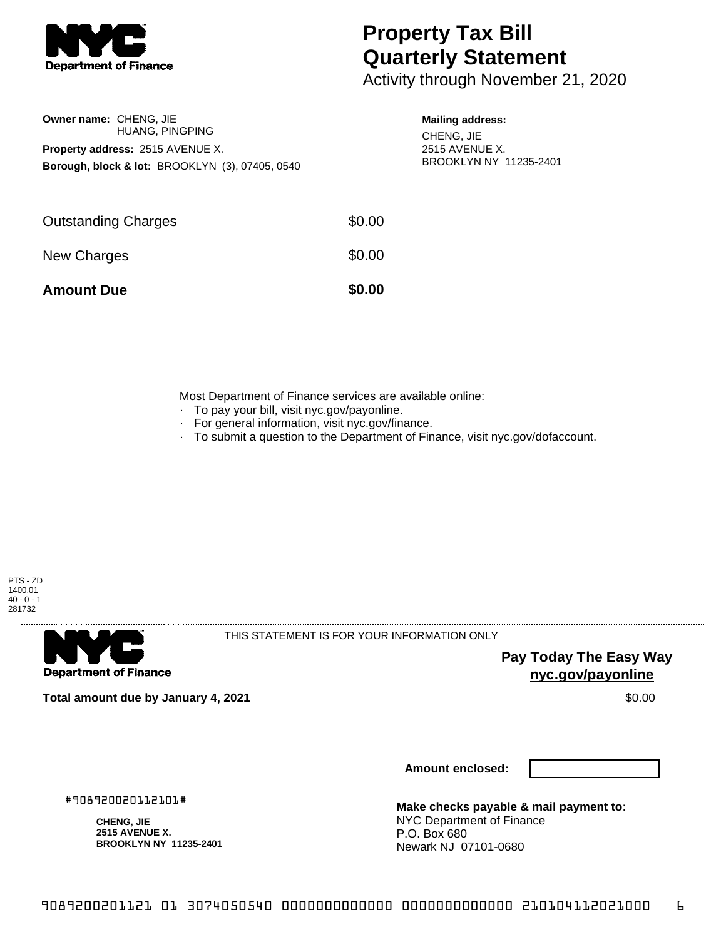

## **Property Tax Bill Quarterly Statement**

Activity through November 21, 2020

| <b>Owner name: CHENG, JIE</b>           |                                                            |  |  |  |  |
|-----------------------------------------|------------------------------------------------------------|--|--|--|--|
|                                         | <b>HUANG, PINGPING</b>                                     |  |  |  |  |
| <b>Property address: 2515 AVENUE X.</b> |                                                            |  |  |  |  |
|                                         | <b>Borough, block &amp; lot: BROOKLYN (3), 07405, 0540</b> |  |  |  |  |

## **Mailing address:** CHENG, JIE

2515 AVENUE X. BROOKLYN NY 11235-2401

| <b>Amount Due</b>          | \$0.00 |
|----------------------------|--------|
| New Charges                | \$0.00 |
| <b>Outstanding Charges</b> | \$0.00 |

Most Department of Finance services are available online:

- · To pay your bill, visit nyc.gov/payonline.
- For general information, visit nyc.gov/finance.
- · To submit a question to the Department of Finance, visit nyc.gov/dofaccount.



**Department of Finance** 

THIS STATEMENT IS FOR YOUR INFORMATION ONLY

**Pay Today The Easy Way nyc.gov/payonline**

**Total amount due by January 4, 2021** \$0.00

**Amount enclosed:**

#908920020112101#

**CHENG, JIE 2515 AVENUE X. BROOKLYN NY 11235-2401**

**Make checks payable & mail payment to:** NYC Department of Finance P.O. Box 680 Newark NJ 07101-0680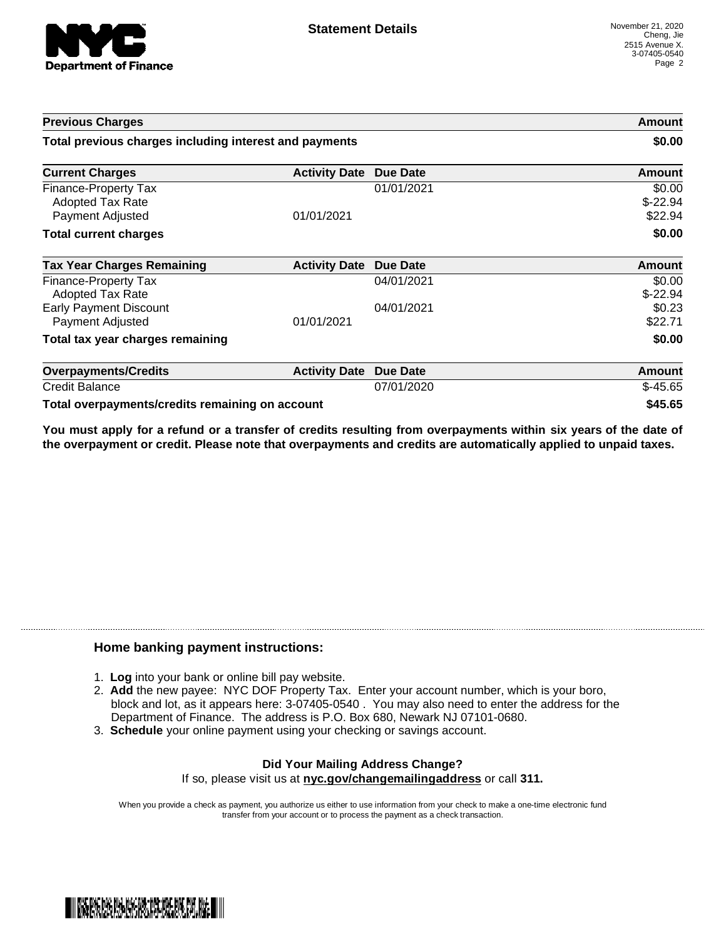

| <b>Previous Charges</b><br>Total previous charges including interest and payments |                      |                 | Amount<br>\$0.00               |
|-----------------------------------------------------------------------------------|----------------------|-----------------|--------------------------------|
|                                                                                   |                      |                 |                                |
| Finance-Property Tax<br><b>Adopted Tax Rate</b><br><b>Payment Adjusted</b>        | 01/01/2021           | 01/01/2021      | \$0.00<br>$$-22.94$<br>\$22.94 |
| <b>Total current charges</b>                                                      |                      |                 | \$0.00                         |
| <b>Tax Year Charges Remaining</b>                                                 | <b>Activity Date</b> | <b>Due Date</b> | Amount                         |
| Finance-Property Tax<br>Adopted Tax Rate                                          |                      | 04/01/2021      | \$0.00<br>$$-22.94$            |
| <b>Early Payment Discount</b><br>Payment Adjusted                                 | 01/01/2021           | 04/01/2021      | \$0.23<br>\$22.71              |
| Total tax year charges remaining                                                  |                      |                 | \$0.00                         |
| <b>Overpayments/Credits</b>                                                       | <b>Activity Date</b> | <b>Due Date</b> | <b>Amount</b>                  |
| <b>Credit Balance</b>                                                             |                      | 07/01/2020      | $$-45.65$                      |
| Total overpayments/credits remaining on account                                   |                      |                 | \$45.65                        |

You must apply for a refund or a transfer of credits resulting from overpayments within six years of the date of **the overpayment or credit. Please note that overpayments and credits are automatically applied to unpaid taxes.**

## **Home banking payment instructions:**

- 1. **Log** into your bank or online bill pay website.
- 2. **Add** the new payee: NYC DOF Property Tax. Enter your account number, which is your boro, block and lot, as it appears here: 3-07405-0540 . You may also need to enter the address for the Department of Finance. The address is P.O. Box 680, Newark NJ 07101-0680.
- 3. **Schedule** your online payment using your checking or savings account.

## **Did Your Mailing Address Change?** If so, please visit us at **nyc.gov/changemailingaddress** or call **311.**

When you provide a check as payment, you authorize us either to use information from your check to make a one-time electronic fund transfer from your account or to process the payment as a check transaction.